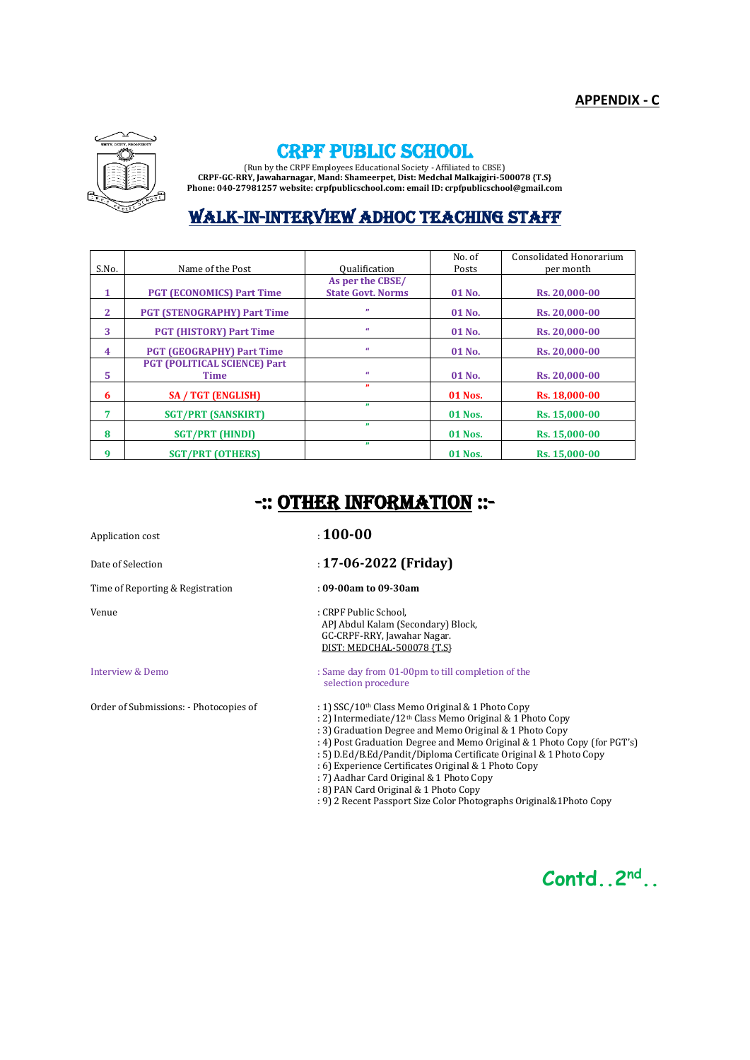

# CRPF PUBLIC SCHOOL

(Run by the CRPF Employees Educational Society - Affiliated to CBSE) **CRPF-GC-RRY, Jawaharnagar, Mand: Shameerpet, Dist: Medchal Malkajgiri-500078 {T.S} Phone: 040-27981257 website: crpfpublicschool.com: email ID: crpfpublicschool@gmail.com**

# WALK-IN-INTERVIEW ADHOC TEACHING STAFF

|              |                                     |                          | No. of         | Consolidated Honorarium |
|--------------|-------------------------------------|--------------------------|----------------|-------------------------|
| S.No.        | Name of the Post                    | <b>Oualification</b>     | Posts          | per month               |
|              |                                     | As per the CBSE/         |                |                         |
| 1            | <b>PGT (ECONOMICS) Part Time</b>    | <b>State Govt. Norms</b> | 01 No.         | Rs. 20.000-00           |
| $\mathbf{2}$ | <b>PGT (STENOGRAPHY) Part Time</b>  | $\mathbf{H}$             | 01 No.         | Rs. 20.000-00           |
| 3            | <b>PGT (HISTORY) Part Time</b>      | $\alpha$                 | 01 No.         | Rs. 20.000-00           |
| 4            | <b>PGT (GEOGRAPHY) Part Time</b>    | $\alpha$                 | 01 No.         | Rs. 20.000-00           |
|              | <b>PGT (POLITICAL SCIENCE) Part</b> |                          |                |                         |
| 5            | <b>Time</b>                         | $\alpha$                 | $01$ No.       | Rs. 20.000-00           |
| 6            | <b>SA / TGT (ENGLISH)</b>           | $\mathbf{v}$             | 01 Nos.        | Rs. 18,000-00           |
| 7            | <b>SGT/PRT (SANSKIRT)</b>           | $\mathbf{v}$             | <b>01 Nos.</b> | Rs. 15,000-00           |
| 8            | <b>SGT/PRT (HINDI)</b>              | $\mathbf{H}$             | <b>01 Nos.</b> | Rs. 15,000-00           |
| 9            | <b>SGT/PRT (OTHERS)</b>             | $\mathbf{H}$             | 01 Nos.        | Rs. 15.000-00           |

# -:: OTHER INFORMATION ::-

Time of Reporting & Registration : **09-00am to 09-30am**

## Application cost  $\qquad \qquad$  : **100-00**

- Date of Selection **17-06-2022 (Friday)** 
	-

Venue : CRPF Public School, APJ Abdul Kalam (Secondary) Block, GC-CRPF-RRY, Jawahar Nagar. DIST: MEDCHAL-500078 {T.S}

Interview & Demo : Same day from 01-00pm to till completion of the selection procedure

Order of Submissions: - Photocopies of : 1) SSC/10<sup>th</sup> Class Memo Original & 1 Photo Copy

- : 2) Intermediate/12th Class Memo Original & 1 Photo Copy
- : 3) Graduation Degree and Memo Original & 1 Photo Copy
- : 4) Post Graduation Degree and Memo Original & 1 Photo Copy (for PGT's)
- : 5) D.Ed/B.Ed/Pandit/Diploma Certificate Original & 1 Photo Copy
- : 6) Experience Certificates Original & 1 Photo Copy
- : 7) Aadhar Card Original & 1 Photo Copy
- : 8) PAN Card Original & 1 Photo Copy
- : 9) 2 Recent Passport Size Color Photographs Original&1Photo Copy